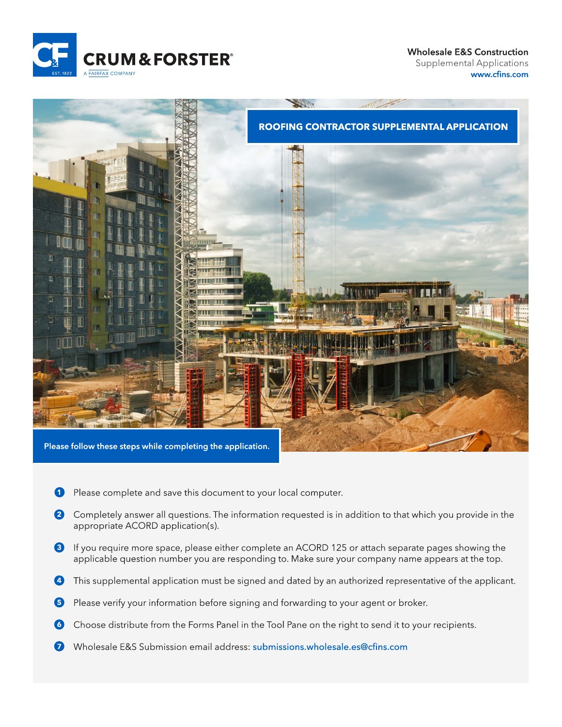

**Wholesale E&S Construction Supplemental Applications** www.cfins.com



- Please complete and save this document to your local computer. 0
- 2 Completely answer all questions. The information requested is in addition to that which you provide in the appropriate ACORD application(s).
- 8 If you require more space, please either complete an ACORD 125 or attach separate pages showing the applicable question number you are responding to. Make sure your company name appears at the top.
- This supplemental application must be signed and dated by an authorized representative of the applicant.
- 6 Please verify your information before signing and forwarding to your agent or broker.
- 6 Choose distribute from the Forms Panel in the Tool Pane on the right to send it to your recipients.
- Wholesale E&S Submission email address: submissions.wholesale.es@cfins.com  $\boldsymbol{\Omega}$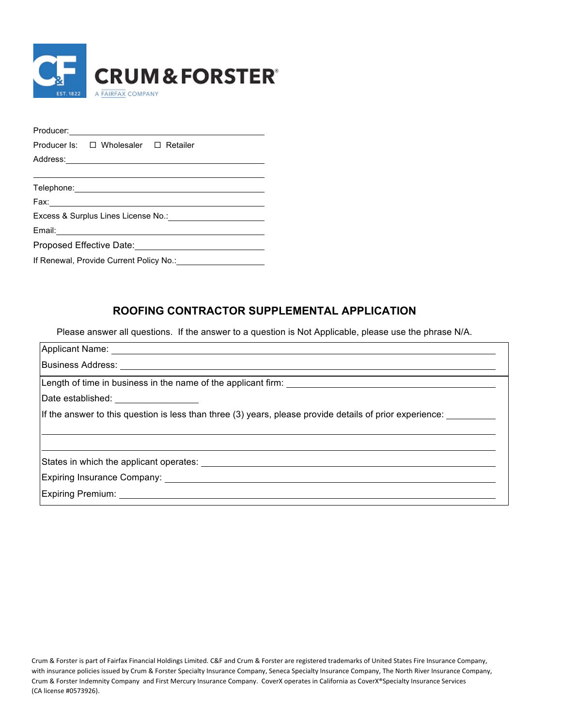

|                                          | Producer Is: $\square$ Wholesaler $\square$ Retailer |                                                                                          |  |  |  |  |
|------------------------------------------|------------------------------------------------------|------------------------------------------------------------------------------------------|--|--|--|--|
|                                          |                                                      |                                                                                          |  |  |  |  |
|                                          |                                                      |                                                                                          |  |  |  |  |
|                                          |                                                      | Telephone: <u>www.common.common.common.common.common.common.common.common.common.com</u> |  |  |  |  |
|                                          |                                                      |                                                                                          |  |  |  |  |
| Excess & Surplus Lines License No.: 1998 |                                                      |                                                                                          |  |  |  |  |
|                                          |                                                      |                                                                                          |  |  |  |  |
|                                          |                                                      |                                                                                          |  |  |  |  |
|                                          |                                                      | If Renewal, Provide Current Policy No.: 1996 1997 1998                                   |  |  |  |  |
|                                          |                                                      |                                                                                          |  |  |  |  |

## **ROOFING CONTRACTOR SUPPLEMENTAL APPLICATION**

Please answer all questions. If the answer to a question is Not Applicable, please use the phrase N/A.

| Date established: __________________                                                                        |
|-------------------------------------------------------------------------------------------------------------|
| If the answer to this question is less than three (3) years, please provide details of prior experience:    |
|                                                                                                             |
|                                                                                                             |
| States in which the applicant operates: States and the state of the states in which the applicant operates: |
|                                                                                                             |
|                                                                                                             |
|                                                                                                             |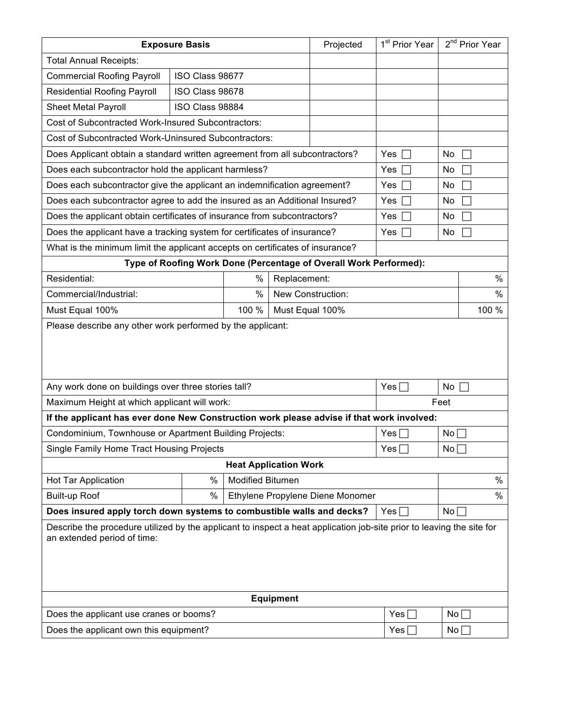| <b>Exposure Basis</b>                                                                                                                                |                           |                         |              | Projected     | 1 <sup>st</sup> Prior Year    | 2 <sup>nd</sup> Prior Year |  |  |
|------------------------------------------------------------------------------------------------------------------------------------------------------|---------------------------|-------------------------|--------------|---------------|-------------------------------|----------------------------|--|--|
| <b>Total Annual Receipts:</b>                                                                                                                        |                           |                         |              |               |                               |                            |  |  |
| <b>Commercial Roofing Payroll</b>                                                                                                                    | ISO Class 98677           |                         |              |               |                               |                            |  |  |
| <b>Residential Roofing Payroll</b>                                                                                                                   | ISO Class 98678           |                         |              |               |                               |                            |  |  |
| <b>Sheet Metal Payroll</b>                                                                                                                           | ISO Class 98884           |                         |              |               |                               |                            |  |  |
| <b>Cost of Subcontracted Work-Insured Subcontractors:</b>                                                                                            |                           |                         |              |               |                               |                            |  |  |
| Cost of Subcontracted Work-Uninsured Subcontractors:                                                                                                 |                           |                         |              |               |                               |                            |  |  |
| Does Applicant obtain a standard written agreement from all subcontractors?                                                                          |                           | Yes $\square$           | No<br>□      |               |                               |                            |  |  |
| Does each subcontractor hold the applicant harmless?                                                                                                 | Yes $\square$             | No<br>□                 |              |               |                               |                            |  |  |
| Does each subcontractor give the applicant an indemnification agreement?                                                                             |                           | Yes $\Box$              | No<br>□      |               |                               |                            |  |  |
| Does each subcontractor agree to add the insured as an Additional Insured?                                                                           |                           |                         |              |               | Yes $\square$                 | No<br>$\Box$               |  |  |
| Does the applicant obtain certificates of insurance from subcontractors?                                                                             |                           |                         |              |               | Yes $\Box$                    | No<br>□                    |  |  |
| Does the applicant have a tracking system for certificates of insurance?                                                                             |                           |                         |              |               | Yes $\Box$                    | No<br>П                    |  |  |
| What is the minimum limit the applicant accepts on certificates of insurance?                                                                        |                           |                         |              |               |                               |                            |  |  |
| Type of Roofing Work Done (Percentage of Overall Work Performed):                                                                                    |                           |                         |              |               |                               |                            |  |  |
| Residential:                                                                                                                                         |                           | %                       | Replacement: |               |                               | $\%$                       |  |  |
| Commercial/Industrial:                                                                                                                               | $\%$<br>New Construction: |                         |              |               |                               |                            |  |  |
| 100 %<br>Must Equal 100%<br>Must Equal 100%                                                                                                          |                           |                         |              |               |                               | 100 %                      |  |  |
|                                                                                                                                                      |                           |                         |              |               |                               |                            |  |  |
| Any work done on buildings over three stories tall?                                                                                                  |                           |                         |              |               | Yes $\square$<br>No $\square$ |                            |  |  |
| Maximum Height at which applicant will work:<br>Feet                                                                                                 |                           |                         |              |               |                               |                            |  |  |
| If the applicant has ever done New Construction work please advise if that work involved:                                                            |                           |                         |              |               |                               |                            |  |  |
| Condominium, Townhouse or Apartment Building Projects:                                                                                               |                           |                         |              | Yes $\square$ | No $\square$                  |                            |  |  |
| Yes $\square$<br>Single Family Home Tract Housing Projects<br><b>Heat Application Work</b>                                                           |                           |                         |              | No            |                               |                            |  |  |
|                                                                                                                                                      | %                         | <b>Modified Bitumen</b> |              |               |                               | $\%$                       |  |  |
| Hot Tar Application                                                                                                                                  |                           |                         |              |               |                               |                            |  |  |
| $\%$<br>$\%$<br><b>Built-up Roof</b><br>Ethylene Propylene Diene Monomer                                                                             |                           |                         |              |               |                               |                            |  |  |
| Does insured apply torch down systems to combustible walls and decks?<br>$No \Box$<br>Yes $\square$                                                  |                           |                         |              |               |                               |                            |  |  |
| Describe the procedure utilized by the applicant to inspect a heat application job-site prior to leaving the site for<br>an extended period of time: |                           |                         |              |               |                               |                            |  |  |
| <b>Equipment</b>                                                                                                                                     |                           |                         |              |               |                               |                            |  |  |
| Does the applicant use cranes or booms?                                                                                                              |                           |                         |              |               | Yes $\square$                 | No $\square$               |  |  |
| Does the applicant own this equipment?                                                                                                               |                           |                         |              | Yes $\square$ | No $\square$                  |                            |  |  |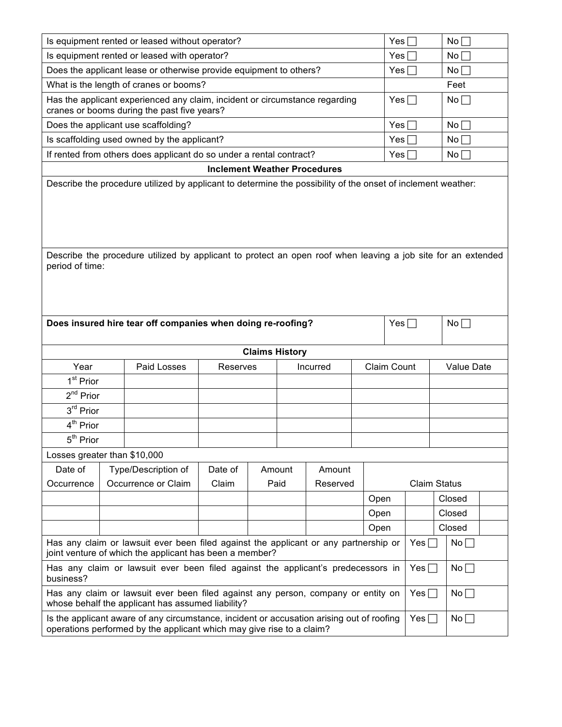|                                                                                                                                                                                                  |                                                    | Is equipment rented or leased without operator? |         |  |        |               |                     | Yes $\square$ |              | No $\square$ |  |
|--------------------------------------------------------------------------------------------------------------------------------------------------------------------------------------------------|----------------------------------------------------|-------------------------------------------------|---------|--|--------|---------------|---------------------|---------------|--------------|--------------|--|
| Is equipment rented or leased with operator?                                                                                                                                                     |                                                    |                                                 |         |  |        | Yes $\square$ |                     | $No \Box$     |              |              |  |
| Does the applicant lease or otherwise provide equipment to others?                                                                                                                               |                                                    |                                                 |         |  |        | Yes $\Box$    |                     | No $\square$  |              |              |  |
| What is the length of cranes or booms?                                                                                                                                                           |                                                    |                                                 |         |  |        |               |                     | Feet          |              |              |  |
| Has the applicant experienced any claim, incident or circumstance regarding<br>cranes or booms during the past five years?                                                                       |                                                    |                                                 |         |  |        | Yes $\square$ |                     | No $\square$  |              |              |  |
| Does the applicant use scaffolding?                                                                                                                                                              |                                                    |                                                 |         |  |        |               | Yes $\square$       |               | No $\square$ |              |  |
| Is scaffolding used owned by the applicant?                                                                                                                                                      |                                                    |                                                 |         |  |        | Yes $\square$ |                     | $No \Box$     |              |              |  |
| If rented from others does applicant do so under a rental contract?                                                                                                                              |                                                    |                                                 |         |  |        | Yes $\square$ |                     | $No \Box$     |              |              |  |
| <b>Inclement Weather Procedures</b>                                                                                                                                                              |                                                    |                                                 |         |  |        |               |                     |               |              |              |  |
| Describe the procedure utilized by applicant to protect an open roof when leaving a job site for an extended<br>period of time:                                                                  |                                                    |                                                 |         |  |        |               |                     |               |              |              |  |
| Does insured hire tear off companies when doing re-roofing?                                                                                                                                      |                                                    |                                                 |         |  |        |               | Yes $\square$       |               | No $\square$ |              |  |
| <b>Claims History</b>                                                                                                                                                                            |                                                    |                                                 |         |  |        |               |                     |               |              |              |  |
| Year                                                                                                                                                                                             | Paid Losses<br>Claim Count<br>Reserves<br>Incurred |                                                 |         |  |        |               |                     | Value Date    |              |              |  |
| 1 <sup>st</sup> Prior                                                                                                                                                                            |                                                    |                                                 |         |  |        |               |                     |               |              |              |  |
| $2^{nd}$ Prior                                                                                                                                                                                   |                                                    |                                                 |         |  |        |               |                     |               |              |              |  |
| 3rd Prior                                                                                                                                                                                        |                                                    |                                                 |         |  |        |               |                     |               |              |              |  |
| 4 <sup>th</sup> Prior                                                                                                                                                                            |                                                    |                                                 |         |  |        |               |                     |               |              |              |  |
| 5 <sup>th</sup> Prior                                                                                                                                                                            |                                                    |                                                 |         |  |        |               |                     |               |              |              |  |
|                                                                                                                                                                                                  | Losses greater than \$10,000                       |                                                 |         |  |        |               |                     |               |              |              |  |
| Date of                                                                                                                                                                                          |                                                    | Type/Description of                             | Date of |  | Amount | Amount        |                     |               |              |              |  |
| Occurrence                                                                                                                                                                                       |                                                    | Occurrence or Claim                             | Claim   |  | Paid   | Reserved      | <b>Claim Status</b> |               |              |              |  |
|                                                                                                                                                                                                  |                                                    |                                                 |         |  |        |               | Open                |               |              | Closed       |  |
|                                                                                                                                                                                                  |                                                    |                                                 |         |  |        |               | Open                |               |              | Closed       |  |
|                                                                                                                                                                                                  |                                                    |                                                 |         |  |        |               | Open                |               |              | Closed       |  |
| Has any claim or lawsuit ever been filed against the applicant or any partnership or<br>Yes $\Box$<br>No<br>joint venture of which the applicant has been a member?                              |                                                    |                                                 |         |  |        |               |                     |               |              |              |  |
| Has any claim or lawsuit ever been filed against the applicant's predecessors in<br>Yes $\Box$<br>No<br>business?                                                                                |                                                    |                                                 |         |  |        |               |                     |               |              |              |  |
| Has any claim or lawsuit ever been filed against any person, company or entity on<br>No <sub>1</sub><br>Yes $\Box$<br>whose behalf the applicant has assumed liability?                          |                                                    |                                                 |         |  |        |               |                     |               |              |              |  |
| Is the applicant aware of any circumstance, incident or accusation arising out of roofing<br>Yes $\Box$<br>No $\square$<br>operations performed by the applicant which may give rise to a claim? |                                                    |                                                 |         |  |        |               |                     |               |              |              |  |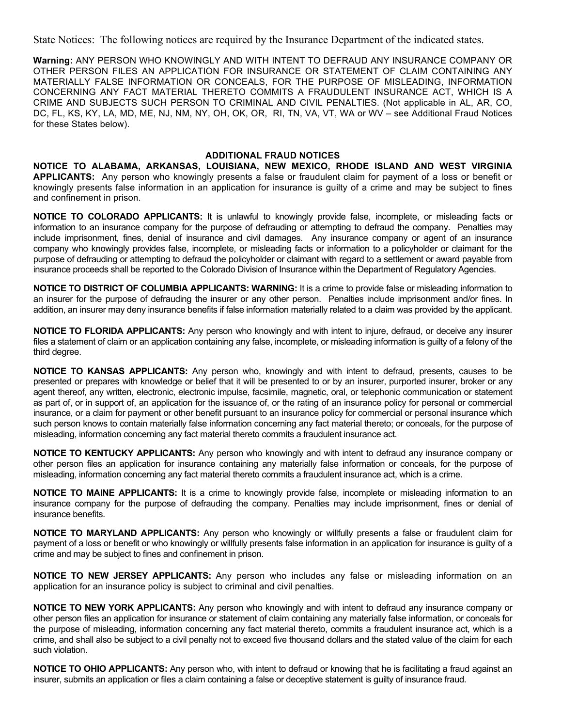State Notices: The following notices are required by the Insurance Department of the indicated states.

**Warning:** ANY PERSON WHO KNOWINGLY AND WITH INTENT TO DEFRAUD ANY INSURANCE COMPANY OR OTHER PERSON FILES AN APPLICATION FOR INSURANCE OR STATEMENT OF CLAIM CONTAINING ANY MATERIALLY FALSE INFORMATION OR CONCEALS, FOR THE PURPOSE OF MISLEADING, INFORMATION CONCERNING ANY FACT MATERIAL THERETO COMMITS A FRAUDULENT INSURANCE ACT, WHICH IS A CRIME AND SUBJECTS SUCH PERSON TO CRIMINAL AND CIVIL PENALTIES. (Not applicable in AL, AR, CO, DC, FL, KS, KY, LA, MD, ME, NJ, NM, NY, OH, OK, OR, RI, TN, VA, VT, WA or WV – see Additional Fraud Notices for these States below).

## **ADDITIONAL FRAUD NOTICES**

**NOTICE TO ALABAMA, ARKANSAS, LOUISIANA, NEW MEXICO, RHODE ISLAND AND WEST VIRGINIA APPLICANTS:** Any person who knowingly presents a false or fraudulent claim for payment of a loss or benefit or knowingly presents false information in an application for insurance is guilty of a crime and may be subject to fines and confinement in prison.

**NOTICE TO COLORADO APPLICANTS:** It is unlawful to knowingly provide false, incomplete, or misleading facts or information to an insurance company for the purpose of defrauding or attempting to defraud the company. Penalties may include imprisonment, fines, denial of insurance and civil damages. Any insurance company or agent of an insurance company who knowingly provides false, incomplete, or misleading facts or information to a policyholder or claimant for the purpose of defrauding or attempting to defraud the policyholder or claimant with regard to a settlement or award payable from insurance proceeds shall be reported to the Colorado Division of Insurance within the Department of Regulatory Agencies.

**NOTICE TO DISTRICT OF COLUMBIA APPLICANTS: WARNING:** It is a crime to provide false or misleading information to an insurer for the purpose of defrauding the insurer or any other person. Penalties include imprisonment and/or fines. In addition, an insurer may deny insurance benefits if false information materially related to a claim was provided by the applicant.

**NOTICE TO FLORIDA APPLICANTS:** Any person who knowingly and with intent to injure, defraud, or deceive any insurer files a statement of claim or an application containing any false, incomplete, or misleading information is guilty of a felony of the third degree.

**NOTICE TO KANSAS APPLICANTS:** Any person who, knowingly and with intent to defraud, presents, causes to be presented or prepares with knowledge or belief that it will be presented to or by an insurer, purported insurer, broker or any agent thereof, any written, electronic, electronic impulse, facsimile, magnetic, oral, or telephonic communication or statement as part of, or in support of, an application for the issuance of, or the rating of an insurance policy for personal or commercial insurance, or a claim for payment or other benefit pursuant to an insurance policy for commercial or personal insurance which such person knows to contain materially false information concerning any fact material thereto; or conceals, for the purpose of misleading, information concerning any fact material thereto commits a fraudulent insurance act.

**NOTICE TO KENTUCKY APPLICANTS:** Any person who knowingly and with intent to defraud any insurance company or other person files an application for insurance containing any materially false information or conceals, for the purpose of misleading, information concerning any fact material thereto commits a fraudulent insurance act, which is a crime.

**NOTICE TO MAINE APPLICANTS:** It is a crime to knowingly provide false, incomplete or misleading information to an insurance company for the purpose of defrauding the company. Penalties may include imprisonment, fines or denial of insurance benefits.

**NOTICE TO MARYLAND APPLICANTS:** Any person who knowingly or willfully presents a false or fraudulent claim for payment of a loss or benefit or who knowingly or willfully presents false information in an application for insurance is guilty of a crime and may be subject to fines and confinement in prison.

**NOTICE TO NEW JERSEY APPLICANTS:** Any person who includes any false or misleading information on an application for an insurance policy is subject to criminal and civil penalties.

**NOTICE TO NEW YORK APPLICANTS:** Any person who knowingly and with intent to defraud any insurance company or other person files an application for insurance or statement of claim containing any materially false information, or conceals for the purpose of misleading, information concerning any fact material thereto, commits a fraudulent insurance act, which is a crime, and shall also be subject to a civil penalty not to exceed five thousand dollars and the stated value of the claim for each such violation.

**NOTICE TO OHIO APPLICANTS:** Any person who, with intent to defraud or knowing that he is facilitating a fraud against an insurer, submits an application or files a claim containing a false or deceptive statement is guilty of insurance fraud.